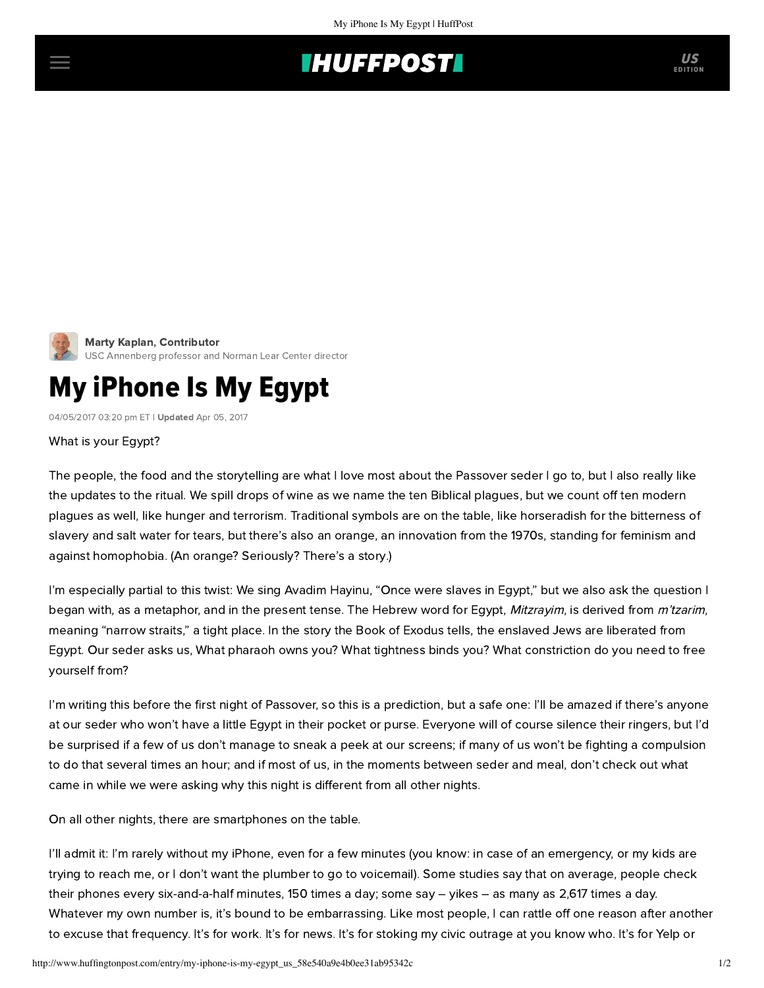



## My iPhone Is My Egypt

04/05/2017 03:20 pm ET | Updated Apr 05, 2017

## What is your Egypt?

The people, the food and the storytelling are what I love most about the Passover seder I go to, but I also really like the updates to the ritual. We spill drops of wine as we name the ten Biblical plagues, but we count off ten modern plagues as well, like hunger and terrorism. Traditional symbols are on the table, like horseradish for the bitterness of slavery and salt water for tears, but there's also an orange, an innovation from the 1970s, standing for feminism and against homophobia. (An orange? Seriously? There's a [story](http://www.jweekly.com/2002/04/05/orange-on-seder-plate-tale-is-flawed-feminist-says/).)

I'm especially partial to this twist: We sing Avadim Hayinu, "Once were slaves in Egypt," but we also ask the question I began with, as a metaphor, and in the present tense. The Hebrew word for Egypt, Mitzrayim, is derived from m'tzarim, meaning "narrow straits," a tight place. In the story the Book of Exodus tells, the enslaved Jews are liberated from Egypt. Our seder asks us, What pharaoh owns you? What tightness binds you? What constriction do you need to free yourself from?

I'm writing this before the first night of Passover, so this is a prediction, but a safe one: I'll be amazed if there's anyone at our seder who won't have a little Egypt in their pocket or purse. Everyone will of course silence their ringers, but I'd be surprised if a few of us don't manage to sneak a peek at our screens; if many of us won't be fighting a compulsion to do that several times an hour; and if most of us, in the moments between seder and meal, don't check out what came in while we were asking why this night is different from all other nights.

On all other nights, there are smartphones on the table.

I'll admit it: I'm rarely without my iPhone, even for a few minutes (you know: in case of an emergency, or my kids are trying to reach me, or I don't want the plumber to go to voicemail). Some studies say that on average, people check their phones every [six-and-a-half minutes,](https://www.buzzfeed.com/charliewarzel/heres-the-cold-hard-proof-that-we-cant-stop-checking-our-pho?utm_term=.xaNMLvnJ5#.slyeR7WmQ) [150](http://abcnews.go.com/blogs/technology/2013/05/cellphone-users-check-phones-150xday-and-other-internet-fun-facts/) times a day; some say – yikes – as many as [2,617](http://www.networkworld.com/article/3092446/smartphones/we-touch-our-phones-2617-times-a-day-says-study.html) times a day. Whatever my own number is, it's bound to be embarrassing. Like most people, I can rattle off one reason after another to excuse that frequency. It's for work. It's for news. It's for stoking my civic outrage at you know who. It's for Yelp or